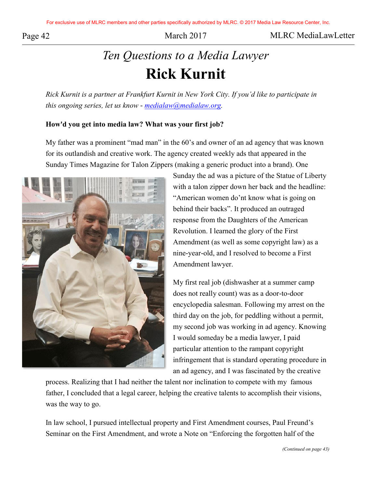Page 42 March 2017 March 2017 MLRC MediaLawLetter

# *Ten Questions to a Media Lawyer*  **Rick Kurnit**

*Rick Kurnit is a partner at Frankfurt Kurnit in New York City. If you'd like to participate in this ongoing series, let us know - [medialaw@medialaw.org.](mailto:medialaw@medialaw.org)*

## **How'd you get into media law? What was your first job?**

My father was a prominent "mad man" in the 60's and owner of an ad agency that was known for its outlandish and creative work. The agency created weekly ads that appeared in the Sunday Times Magazine for Talon Zippers (making a generic product into a brand). One



Sunday the ad was a picture of the Statue of Liberty with a talon zipper down her back and the headline: "American women do'nt know what is going on behind their backs". It produced an outraged response from the Daughters of the American Revolution. I learned the glory of the First Amendment (as well as some copyright law) as a nine-year-old, and I resolved to become a First Amendment lawyer.

My first real job (dishwasher at a summer camp does not really count) was as a door-to-door encyclopedia salesman. Following my arrest on the third day on the job, for peddling without a permit, my second job was working in ad agency. Knowing I would someday be a media lawyer, I paid particular attention to the rampant copyright infringement that is standard operating procedure in an ad agency, and I was fascinated by the creative

process. Realizing that I had neither the talent nor inclination to compete with my famous father, I concluded that a legal career, helping the creative talents to accomplish their visions, was the way to go.

In law school, I pursued intellectual property and First Amendment courses, Paul Freund's Seminar on the First Amendment, and wrote a Note on "Enforcing the forgotten half of the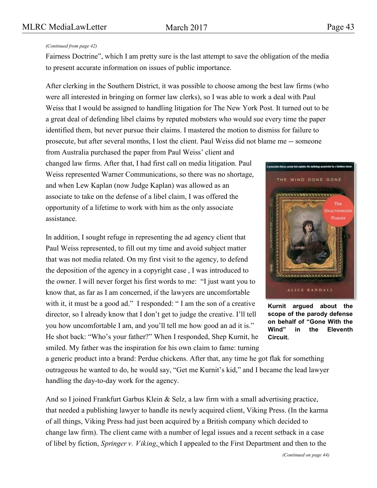# MLRC MediaLawLetter March 2017 Page 43

### *(Continued from page 42)*

Fairness Doctrine", which I am pretty sure is the last attempt to save the obligation of the media to present accurate information on issues of public importance.

After clerking in the Southern District, it was possible to choose among the best law firms (who were all interested in bringing on former law clerks), so I was able to work a deal with Paul Weiss that I would be assigned to handling litigation for The New York Post. It turned out to be a great deal of defending libel claims by reputed mobsters who would sue every time the paper identified them, but never pursue their claims. I mastered the motion to dismiss for failure to prosecute, but after several months, I lost the client. Paul Weiss did not blame me -- someone

from Australia purchased the paper from Paul Weiss' client and changed law firms. After that, I had first call on media litigation. Paul Weiss represented Warner Communications, so there was no shortage, and when Lew Kaplan (now Judge Kaplan) was allowed as an associate to take on the defense of a libel claim, I was offered the opportunity of a lifetime to work with him as the only associate assistance.

In addition, I sought refuge in representing the ad agency client that Paul Weiss represented, to fill out my time and avoid subject matter that was not media related. On my first visit to the agency, to defend the deposition of the agency in a copyright case , I was introduced to the owner. I will never forget his first words to me: "I just want you to know that, as far as I am concerned, if the lawyers are uncomfortable with it, it must be a good ad." I responded: "I am the son of a creative director, so I already know that I don't get to judge the creative. I'll tell you how uncomfortable I am, and you'll tell me how good an ad it is." He shot back: "Who's your father?" When I responded, Shep Kurnit, he smiled. My father was the inspiration for his own claim to fame: turning

a generic product into a brand: Perdue chickens. After that, any time he got flak for something outrageous he wanted to do, he would say, "Get me Kurnit's kid," and I became the lead lawyer handling the day-to-day work for the agency.

And so I joined Frankfurt Garbus Klein & Selz, a law firm with a small advertising practice, that needed a publishing lawyer to handle its newly acquired client, Viking Press. (In the karma of all things, Viking Press had just been acquired by a British company which decided to change law firm). The client came with a number of legal issues and a recent setback in a case of libel by fiction, *Springer v. Viking*, which I appealed to the First Department and then to the



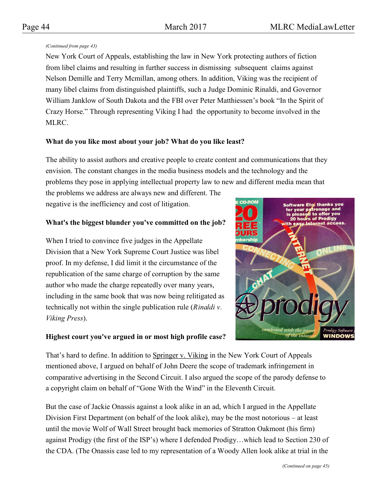## *(Continued from page 43)*

New York Court of Appeals, establishing the law in New York protecting authors of fiction from libel claims and resulting in further success in dismissing subsequent claims against Nelson Demille and Terry Mcmillan, among others. In addition, Viking was the recipient of many libel claims from distinguished plaintiffs, such a Judge Dominic Rinaldi, and Governor William Janklow of South Dakota and the FBI over Peter Matthiessen's book "In the Spirit of Crazy Horse." Through representing Viking I had the opportunity to become involved in the MLRC.

# **What do you like most about your job? What do you like least?**

The ability to assist authors and creative people to create content and communications that they envision. The constant changes in the media business models and the technology and the problems they pose in applying intellectual property law to new and different media mean that

the problems we address are always new and different. The negative is the inefficiency and cost of litigation.

# **What's the biggest blunder you've committed on the job?**

When I tried to convince five judges in the Appellate Division that a New York Supreme Court Justice was libel proof. In my defense, I did limit it the circumstance of the republication of the same charge of corruption by the same author who made the charge repeatedly over many years, including in the same book that was now being relitigated as technically not within the single publication rule (*Rinaldi v. Viking Press*).



# **Highest court you've argued in or most high profile case?**

That's hard to define. In addition to Springer v. Viking in the New York Court of Appeals mentioned above, I argued on behalf of John Deere the scope of trademark infringement in comparative advertising in the Second Circuit. I also argued the scope of the parody defense to a copyright claim on behalf of "Gone With the Wind" in the Eleventh Circuit.

But the case of Jackie Onassis against a look alike in an ad, which I argued in the Appellate Division First Department (on behalf of the look alike), may be the most notorious – at least until the movie Wolf of Wall Street brought back memories of Stratton Oakmont (his firm) against Prodigy (the first of the ISP's) where I defended Prodigy…which lead to Section 230 of the CDA. (The Onassis case led to my representation of a Woody Allen look alike at trial in the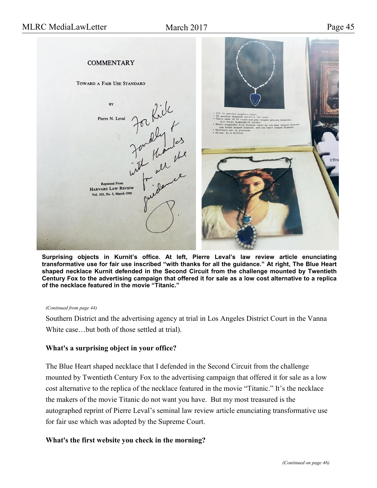

**Surprising objects in Kurnit's office. At left, Pierre Leval's law review article enunciating transformative use for fair use inscribed "with thanks for all the guidance." At right, The Blue Heart shaped necklace Kurnit defended in the Second Circuit from the challenge mounted by Twentieth Century Fox to the advertising campaign that offered it for sale as a low cost alternative to a replica of the necklace featured in the movie "Titanic."** 

#### *(Continued from page 44)*

Southern District and the advertising agency at trial in Los Angeles District Court in the Vanna White case…but both of those settled at trial).

## **What's a surprising object in your office?**

The Blue Heart shaped necklace that I defended in the Second Circuit from the challenge mounted by Twentieth Century Fox to the advertising campaign that offered it for sale as a low cost alternative to the replica of the necklace featured in the movie "Titanic." It's the necklace the makers of the movie Titanic do not want you have. But my most treasured is the autographed reprint of Pierre Leval's seminal law review article enunciating transformative use for fair use which was adopted by the Supreme Court.

## **What's the first website you check in the morning?**